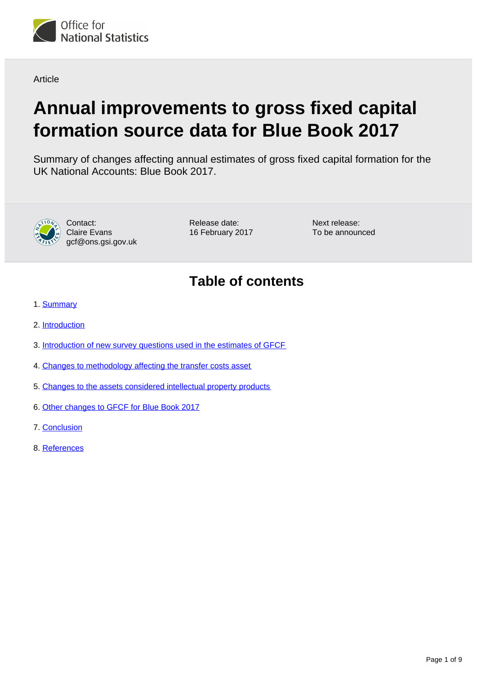

**Article** 

# **Annual improvements to gross fixed capital formation source data for Blue Book 2017**

Summary of changes affecting annual estimates of gross fixed capital formation for the UK National Accounts: Blue Book 2017.



Contact: Claire Evans gcf@ons.gsi.gov.uk Release date: 16 February 2017 Next release: To be announced

# **Table of contents**

- 1. [Summary](#page-1-0)
- 2. [Introduction](#page-1-1)
- 3. [Introduction of new survey questions used in the estimates of GFCF](#page-2-0)
- 4. [Changes to methodology affecting the transfer costs asset](#page-4-0)
- 5. [Changes to the assets considered intellectual property products](#page-5-0)
- 6. [Other changes to GFCF for Blue Book 2017](#page-6-0)
- 7. [Conclusion](#page-7-0)
- 8. References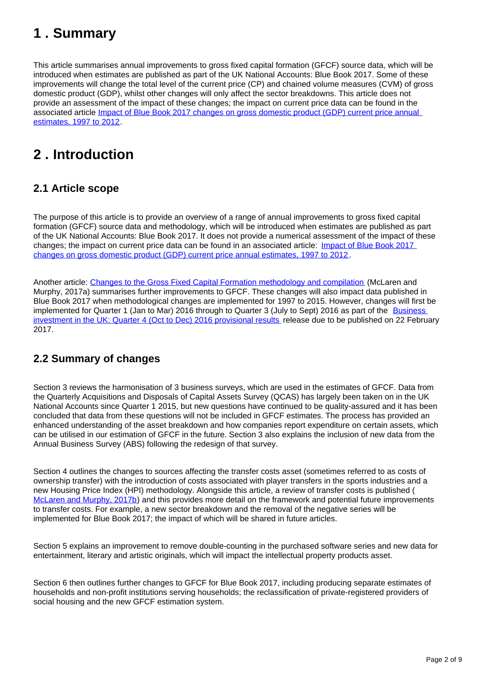# <span id="page-1-0"></span>**1 . Summary**

This article summarises annual improvements to gross fixed capital formation (GFCF) source data, which will be introduced when estimates are published as part of the UK National Accounts: Blue Book 2017. Some of these improvements will change the total level of the current price (CP) and chained volume measures (CVM) of gross domestic product (GDP), whilst other changes will only affect the sector breakdowns. This article does not provide an assessment of the impact of these changes; the impact on current price data can be found in the associated article *Impact of Blue Book 2017 changes on gross domestic product (GDP)* current price annual [estimates, 1997 to 2012](https://www.ons.gov.uk/releases/nationalaccountsimpactofbluebook2017changesongdpcurrentpricesannualestimates1997to2012).

# <span id="page-1-1"></span>**2 . Introduction**

# **2.1 Article scope**

The purpose of this article is to provide an overview of a range of annual improvements to gross fixed capital formation (GFCF) source data and methodology, which will be introduced when estimates are published as part of the UK National Accounts: Blue Book 2017. It does not provide a numerical assessment of the impact of these changes; the impact on current price data can be found in an associated article: Impact of Blue Book 2017 [changes on gross domestic product \(GDP\) current price annual estimates, 1997 to 2012](https://www.ons.gov.uk/releases/nationalaccountsimpactofbluebook2017changesongdpcurrentpricesannualestimates1997to2012) .

Another article: [Changes to the Gross Fixed Capital Formation methodology and compilation](https://cy.ons.gov.uk/economy/nationalaccounts/uksectoraccounts/articles/nationalaccountsarticles/changestothegrossfixedcapitalformationmethodologyandprocessing) (McLaren and Murphy, 2017a) summarises further improvements to GFCF. These changes will also impact data published in Blue Book 2017 when methodological changes are implemented for 1997 to 2015. However, changes will first be implemented for Quarter 1 (Jan to Mar) 2016 through to Quarter 3 (July to Sept) 2016 as part of the Business [investment in the UK: Quarter 4 \(Oct to Dec\) 2016 provisional results](https://www.ons.gov.uk/releases/businessinvestmentintheukprovisionalocttodec2016) release due to be published on 22 February 2017.

# **2.2 Summary of changes**

Section 3 reviews the harmonisation of 3 business surveys, which are used in the estimates of GFCF. Data from the Quarterly Acquisitions and Disposals of Capital Assets Survey (QCAS) has largely been taken on in the UK National Accounts since Quarter 1 2015, but new questions have continued to be quality-assured and it has been concluded that data from these questions will not be included in GFCF estimates. The process has provided an enhanced understanding of the asset breakdown and how companies report expenditure on certain assets, which can be utilised in our estimation of GFCF in the future. Section 3 also explains the inclusion of new data from the Annual Business Survey (ABS) following the redesign of that survey.

Section 4 outlines the changes to sources affecting the transfer costs asset (sometimes referred to as costs of ownership transfer) with the introduction of costs associated with player transfers in the sports industries and a new Housing Price Index (HPI) methodology. Alongside this article, a review of transfer costs is published ( [McLaren and Murphy, 2017b](https://www.ons.gov.uk/economy/nationalaccounts/uksectoraccounts/articles/nationalaccountsarticles/reviewofcostsofownershiptransferandtreatmentintheuknationalaccounts)) and this provides more detail on the framework and potential future improvements to transfer costs. For example, a new sector breakdown and the removal of the negative series will be implemented for Blue Book 2017; the impact of which will be shared in future articles.

Section 5 explains an improvement to remove double-counting in the purchased software series and new data for entertainment, literary and artistic originals, which will impact the intellectual property products asset.

Section 6 then outlines further changes to GFCF for Blue Book 2017, including producing separate estimates of households and non-profit institutions serving households; the reclassification of private-registered providers of social housing and the new GFCF estimation system.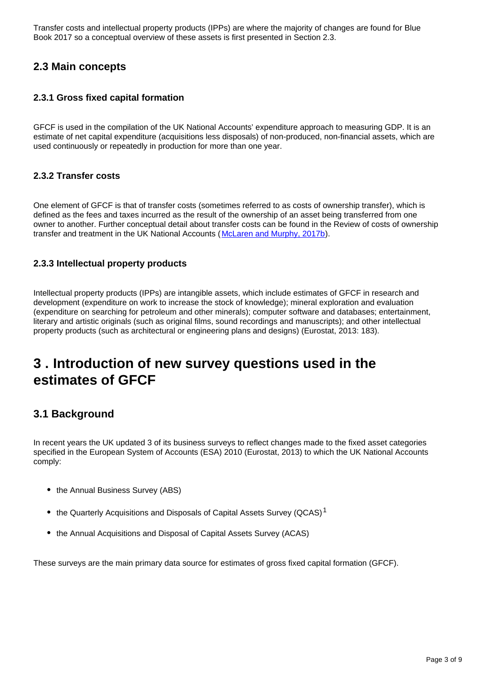Transfer costs and intellectual property products (IPPs) are where the majority of changes are found for Blue Book 2017 so a conceptual overview of these assets is first presented in Section 2.3.

### **2.3 Main concepts**

#### **2.3.1 Gross fixed capital formation**

GFCF is used in the compilation of the UK National Accounts' expenditure approach to measuring GDP. It is an estimate of net capital expenditure (acquisitions less disposals) of non-produced, non-financial assets, which are used continuously or repeatedly in production for more than one year.

#### **2.3.2 Transfer costs**

One element of GFCF is that of transfer costs (sometimes referred to as costs of ownership transfer), which is defined as the fees and taxes incurred as the result of the ownership of an asset being transferred from one owner to another. Further conceptual detail about transfer costs can be found in the Review of costs of ownership transfer and treatment in the UK National Accounts ([McLaren and Murphy, 2017b](https://www.ons.gov.uk/economy/nationalaccounts/uksectoraccounts/articles/nationalaccountsarticles/reviewofcostsofownershiptransferandtreatmentintheuknationalaccounts)).

#### **2.3.3 Intellectual property products**

Intellectual property products (IPPs) are intangible assets, which include estimates of GFCF in research and development (expenditure on work to increase the stock of knowledge); mineral exploration and evaluation (expenditure on searching for petroleum and other minerals); computer software and databases; entertainment, literary and artistic originals (such as original films, sound recordings and manuscripts); and other intellectual property products (such as architectural or engineering plans and designs) (Eurostat, 2013: 183).

# <span id="page-2-0"></span>**3 . Introduction of new survey questions used in the estimates of GFCF**

### **3.1 Background**

In recent years the UK updated 3 of its business surveys to reflect changes made to the fixed asset categories specified in the European System of Accounts (ESA) 2010 (Eurostat, 2013) to which the UK National Accounts comply:

- the Annual Business Survey (ABS)
- the Quarterly Acquisitions and Disposals of Capital Assets Survey (QCAS)<sup>1</sup>
- the Annual Acquisitions and Disposal of Capital Assets Survey (ACAS)

These surveys are the main primary data source for estimates of gross fixed capital formation (GFCF).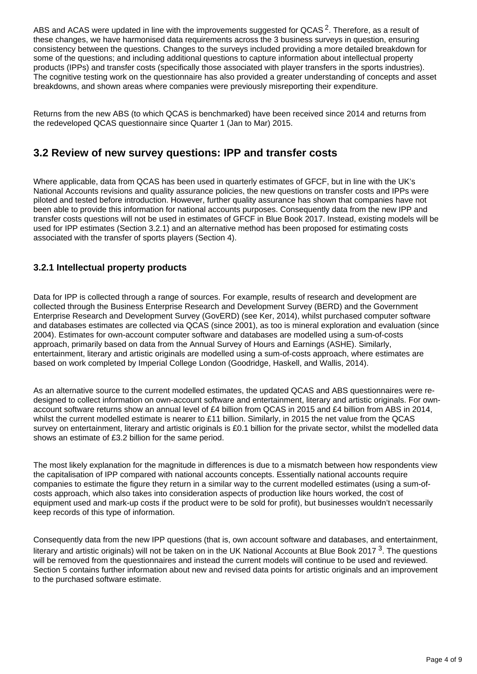ABS and ACAS were updated in line with the improvements suggested for QCAS<sup>2</sup>. Therefore, as a result of these changes, we have harmonised data requirements across the 3 business surveys in question, ensuring consistency between the questions. Changes to the surveys included providing a more detailed breakdown for some of the questions; and including additional questions to capture information about intellectual property products (IPPs) and transfer costs (specifically those associated with player transfers in the sports industries). The cognitive testing work on the questionnaire has also provided a greater understanding of concepts and asset breakdowns, and shown areas where companies were previously misreporting their expenditure.

Returns from the new ABS (to which QCAS is benchmarked) have been received since 2014 and returns from the redeveloped QCAS questionnaire since Quarter 1 (Jan to Mar) 2015.

### **3.2 Review of new survey questions: IPP and transfer costs**

Where applicable, data from QCAS has been used in quarterly estimates of GFCF, but in line with the UK's National Accounts revisions and quality assurance policies, the new questions on transfer costs and IPPs were piloted and tested before introduction. However, further quality assurance has shown that companies have not been able to provide this information for national accounts purposes. Consequently data from the new IPP and transfer costs questions will not be used in estimates of GFCF in Blue Book 2017. Instead, existing models will be used for IPP estimates (Section 3.2.1) and an alternative method has been proposed for estimating costs associated with the transfer of sports players (Section 4).

#### **3.2.1 Intellectual property products**

Data for IPP is collected through a range of sources. For example, results of research and development are collected through the Business Enterprise Research and Development Survey (BERD) and the Government Enterprise Research and Development Survey (GovERD) (see Ker, 2014), whilst purchased computer software and databases estimates are collected via QCAS (since 2001), as too is mineral exploration and evaluation (since 2004). Estimates for own-account computer software and databases are modelled using a sum-of-costs approach, primarily based on data from the Annual Survey of Hours and Earnings (ASHE). Similarly, entertainment, literary and artistic originals are modelled using a sum-of-costs approach, where estimates are based on work completed by Imperial College London (Goodridge, Haskell, and Wallis, 2014).

As an alternative source to the current modelled estimates, the updated QCAS and ABS questionnaires were redesigned to collect information on own-account software and entertainment, literary and artistic originals. For ownaccount software returns show an annual level of £4 billion from QCAS in 2015 and £4 billion from ABS in 2014, whilst the current modelled estimate is nearer to £11 billion. Similarly, in 2015 the net value from the QCAS survey on entertainment, literary and artistic originals is £0.1 billion for the private sector, whilst the modelled data shows an estimate of £3.2 billion for the same period.

The most likely explanation for the magnitude in differences is due to a mismatch between how respondents view the capitalisation of IPP compared with national accounts concepts. Essentially national accounts require companies to estimate the figure they return in a similar way to the current modelled estimates (using a sum-ofcosts approach, which also takes into consideration aspects of production like hours worked, the cost of equipment used and mark-up costs if the product were to be sold for profit), but businesses wouldn't necessarily keep records of this type of information.

Consequently data from the new IPP questions (that is, own account software and databases, and entertainment, literary and artistic originals) will not be taken on in the UK National Accounts at Blue Book 2017<sup>3</sup>. The questions will be removed from the questionnaires and instead the current models will continue to be used and reviewed. Section 5 contains further information about new and revised data points for artistic originals and an improvement to the purchased software estimate.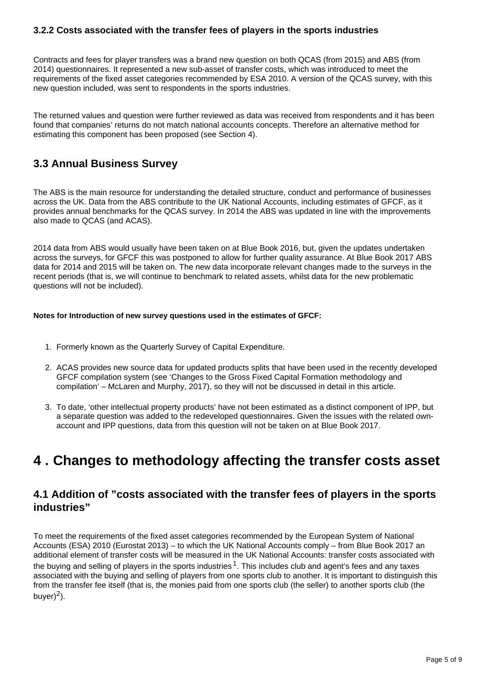#### **3.2.2 Costs associated with the transfer fees of players in the sports industries**

Contracts and fees for player transfers was a brand new question on both QCAS (from 2015) and ABS (from 2014) questionnaires. It represented a new sub-asset of transfer costs, which was introduced to meet the requirements of the fixed asset categories recommended by ESA 2010. A version of the QCAS survey, with this new question included, was sent to respondents in the sports industries.

The returned values and question were further reviewed as data was received from respondents and it has been found that companies' returns do not match national accounts concepts. Therefore an alternative method for estimating this component has been proposed (see Section 4).

# **3.3 Annual Business Survey**

The ABS is the main resource for understanding the detailed structure, conduct and performance of businesses across the UK. Data from the ABS contribute to the UK National Accounts, including estimates of GFCF, as it provides annual benchmarks for the QCAS survey. In 2014 the ABS was updated in line with the improvements also made to QCAS (and ACAS).

2014 data from ABS would usually have been taken on at Blue Book 2016, but, given the updates undertaken across the surveys, for GFCF this was postponed to allow for further quality assurance. At Blue Book 2017 ABS data for 2014 and 2015 will be taken on. The new data incorporate relevant changes made to the surveys in the recent periods (that is, we will continue to benchmark to related assets, whilst data for the new problematic questions will not be included).

#### **Notes for Introduction of new survey questions used in the estimates of GFCF:**

- 1. Formerly known as the Quarterly Survey of Capital Expenditure.
- 2. ACAS provides new source data for updated products splits that have been used in the recently developed GFCF compilation system (see 'Changes to the Gross Fixed Capital Formation methodology and compilation' – McLaren and Murphy, 2017), so they will not be discussed in detail in this article.
- 3. To date, 'other intellectual property products' have not been estimated as a distinct component of IPP, but a separate question was added to the redeveloped questionnaires. Given the issues with the related ownaccount and IPP questions, data from this question will not be taken on at Blue Book 2017.

# <span id="page-4-0"></span>**4 . Changes to methodology affecting the transfer costs asset**

### **4.1 Addition of "costs associated with the transfer fees of players in the sports industries"**

To meet the requirements of the fixed asset categories recommended by the European System of National Accounts (ESA) 2010 (Eurostat 2013) – to which the UK National Accounts comply – from Blue Book 2017 an additional element of transfer costs will be measured in the UK National Accounts: transfer costs associated with the buying and selling of players in the sports industries  $1$ . This includes club and agent's fees and any taxes associated with the buying and selling of players from one sports club to another. It is important to distinguish this from the transfer fee itself (that is, the monies paid from one sports club (the seller) to another sports club (the buver $)^2$ ).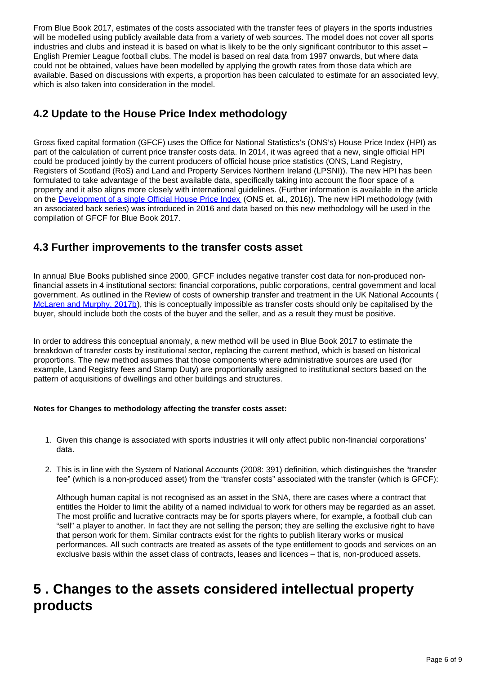From Blue Book 2017, estimates of the costs associated with the transfer fees of players in the sports industries will be modelled using publicly available data from a variety of web sources. The model does not cover all sports industries and clubs and instead it is based on what is likely to be the only significant contributor to this asset – English Premier League football clubs. The model is based on real data from 1997 onwards, but where data could not be obtained, values have been modelled by applying the growth rates from those data which are available. Based on discussions with experts, a proportion has been calculated to estimate for an associated levy, which is also taken into consideration in the model.

### **4.2 Update to the House Price Index methodology**

Gross fixed capital formation (GFCF) uses the Office for National Statistics's (ONS's) House Price Index (HPI) as part of the calculation of current price transfer costs data. In 2014, it was agreed that a new, single official HPI could be produced jointly by the current producers of official house price statistics (ONS, Land Registry, Registers of Scotland (RoS) and Land and Property Services Northern Ireland (LPSNI)). The new HPI has been formulated to take advantage of the best available data, specifically taking into account the floor space of a property and it also aligns more closely with international guidelines. (Further information is available in the article on the [Development of a single Official House Price Index](https://www.ons.gov.uk/file?uri=/economy/inflationandpriceindices/methodologies/developmentofasingleofficialhousepriceindex/developmentofasingleofficialhousepriceindexfinal1tcm774317011.pdf) (ONS et. al., 2016)). The new HPI methodology (with an associated back series) was introduced in 2016 and data based on this new methodology will be used in the compilation of GFCF for Blue Book 2017.

### **4.3 Further improvements to the transfer costs asset**

In annual Blue Books published since 2000, GFCF includes negative transfer cost data for non-produced nonfinancial assets in 4 institutional sectors: financial corporations, public corporations, central government and local government. As outlined in the Review of costs of ownership transfer and treatment in the UK National Accounts ( [McLaren and Murphy, 2017b](https://www.ons.gov.uk/economy/nationalaccounts/uksectoraccounts/articles/nationalaccountsarticles/reviewofcostsofownershiptransferandtreatmentintheuknationalaccounts)), this is conceptually impossible as transfer costs should only be capitalised by the buyer, should include both the costs of the buyer and the seller, and as a result they must be positive.

In order to address this conceptual anomaly, a new method will be used in Blue Book 2017 to estimate the breakdown of transfer costs by institutional sector, replacing the current method, which is based on historical proportions. The new method assumes that those components where administrative sources are used (for example, Land Registry fees and Stamp Duty) are proportionally assigned to institutional sectors based on the pattern of acquisitions of dwellings and other buildings and structures.

#### **Notes for Changes to methodology affecting the transfer costs asset:**

- 1. Given this change is associated with sports industries it will only affect public non-financial corporations' data.
- 2. This is in line with the System of National Accounts (2008: 391) definition, which distinguishes the "transfer fee" (which is a non-produced asset) from the "transfer costs" associated with the transfer (which is GFCF):

Although human capital is not recognised as an asset in the SNA, there are cases where a contract that entitles the Holder to limit the ability of a named individual to work for others may be regarded as an asset. The most prolific and lucrative contracts may be for sports players where, for example, a football club can "sell" a player to another. In fact they are not selling the person; they are selling the exclusive right to have that person work for them. Similar contracts exist for the rights to publish literary works or musical performances. All such contracts are treated as assets of the type entitlement to goods and services on an exclusive basis within the asset class of contracts, leases and licences – that is, non-produced assets.

# <span id="page-5-0"></span>**5 . Changes to the assets considered intellectual property products**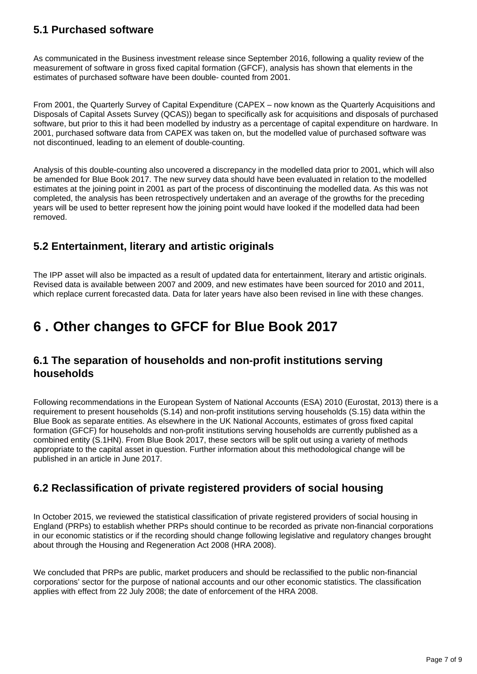# **5.1 Purchased software**

As communicated in the Business investment release since September 2016, following a quality review of the measurement of software in gross fixed capital formation (GFCF), analysis has shown that elements in the estimates of purchased software have been double- counted from 2001.

From 2001, the Quarterly Survey of Capital Expenditure (CAPEX – now known as the Quarterly Acquisitions and Disposals of Capital Assets Survey (QCAS)) began to specifically ask for acquisitions and disposals of purchased software, but prior to this it had been modelled by industry as a percentage of capital expenditure on hardware. In 2001, purchased software data from CAPEX was taken on, but the modelled value of purchased software was not discontinued, leading to an element of double-counting.

Analysis of this double-counting also uncovered a discrepancy in the modelled data prior to 2001, which will also be amended for Blue Book 2017. The new survey data should have been evaluated in relation to the modelled estimates at the joining point in 2001 as part of the process of discontinuing the modelled data. As this was not completed, the analysis has been retrospectively undertaken and an average of the growths for the preceding years will be used to better represent how the joining point would have looked if the modelled data had been removed.

### **5.2 Entertainment, literary and artistic originals**

The IPP asset will also be impacted as a result of updated data for entertainment, literary and artistic originals. Revised data is available between 2007 and 2009, and new estimates have been sourced for 2010 and 2011, which replace current forecasted data. Data for later years have also been revised in line with these changes.

# <span id="page-6-0"></span>**6 . Other changes to GFCF for Blue Book 2017**

### **6.1 The separation of households and non-profit institutions serving households**

Following recommendations in the European System of National Accounts (ESA) 2010 (Eurostat, 2013) there is a requirement to present households (S.14) and non-profit institutions serving households (S.15) data within the Blue Book as separate entities. As elsewhere in the UK National Accounts, estimates of gross fixed capital formation (GFCF) for households and non-profit institutions serving households are currently published as a combined entity (S.1HN). From Blue Book 2017, these sectors will be split out using a variety of methods appropriate to the capital asset in question. Further information about this methodological change will be published in an article in June 2017.

# **6.2 Reclassification of private registered providers of social housing**

In October 2015, we reviewed the statistical classification of private registered providers of social housing in England (PRPs) to establish whether PRPs should continue to be recorded as private non-financial corporations in our economic statistics or if the recording should change following legislative and regulatory changes brought about through the Housing and Regeneration Act 2008 (HRA 2008).

We concluded that PRPs are public, market producers and should be reclassified to the public non-financial corporations' sector for the purpose of national accounts and our other economic statistics. The classification applies with effect from 22 July 2008; the date of enforcement of the HRA 2008.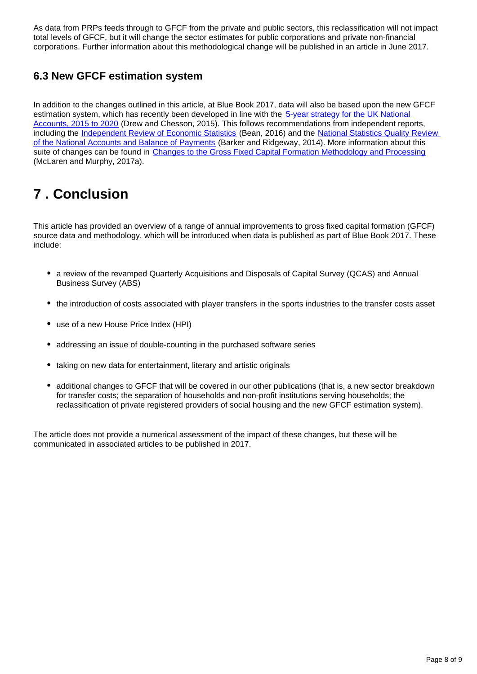As data from PRPs feeds through to GFCF from the private and public sectors, this reclassification will not impact total levels of GFCF, but it will change the sector estimates for public corporations and private non-financial corporations. Further information about this methodological change will be published in an article in June 2017.

# **6.3 New GFCF estimation system**

In addition to the changes outlined in this article, at Blue Book 2017, data will also be based upon the new GFCF estimation system, which has recently been developed in line with the 5-year strategy for the UK National [Accounts, 2015 to 2020](https://www.google.co.uk/url?sa=t&rct=j&q=&esrc=s&source=web&cd=1&cad=rja&uact=8&ved=0ahUKEwighfyr5MvRAhVDExoKHaFiCG0QFggaMAA&url=https%3A%2F%2Fwww.ons.gov.uk%2Fons%2Fabout-ons%2Fget-involved%2Fconsultations-and-user-surveys%2Fconsultations%2Fnational-acco) (Drew and Chesson, 2015). This follows recommendations from independent reports, including the [Independent Review of Economic Statistics](https://www.google.co.uk/url?sa=t&rct=j&q=&esrc=s&source=web&cd=4&cad=rja&uact=8&ved=0ahUKEwi98_qc5MvRAhVJChoKHVnZC4UQFggqMAM&url=https%3A%2F%2Fwww.gov.uk%2Fgovernment%2Fuploads%2Fsystem%2Fuploads%2Fattachment_data%2Ffile%2F507081%2F2904936_Bean_Review_Web) (Bean, 2016) and the National Statistics Quality Review [of the National Accounts and Balance of Payments](https://www.google.co.uk/url?sa=t&rct=j&q=&esrc=s&source=web&cd=1&cad=rja&uact=8&ved=0ahUKEwj0k43D4cvRAhUKORoKHZ4rDo4QFggaMAA&url=http%3A%2F%2Fwww.ons.gov.uk%2Fons%2Fguide-method%2Fmethod-quality%2Fquality%2Fquality-reviews%2Flist-of-current-national-stati) (Barker and Ridgeway, 2014). More information about this suite of changes can be found in [Changes to the Gross Fixed Capital Formation Methodology and Processing](https://cy.ons.gov.uk/economy/nationalaccounts/uksectoraccounts/articles/nationalaccountsarticles/changestothegrossfixedcapitalformationmethodologyandprocessing) (McLaren and Murphy, 2017a).

# <span id="page-7-0"></span>**7 . Conclusion**

This article has provided an overview of a range of annual improvements to gross fixed capital formation (GFCF) source data and methodology, which will be introduced when data is published as part of Blue Book 2017. These include:

- a review of the revamped Quarterly Acquisitions and Disposals of Capital Survey (QCAS) and Annual Business Survey (ABS)
- the introduction of costs associated with player transfers in the sports industries to the transfer costs asset
- use of a new House Price Index (HPI)
- addressing an issue of double-counting in the purchased software series
- taking on new data for entertainment, literary and artistic originals
- additional changes to GFCF that will be covered in our other publications (that is, a new sector breakdown for transfer costs; the separation of households and non-profit institutions serving households; the reclassification of private registered providers of social housing and the new GFCF estimation system).

The article does not provide a numerical assessment of the impact of these changes, but these will be communicated in associated articles to be published in 2017.